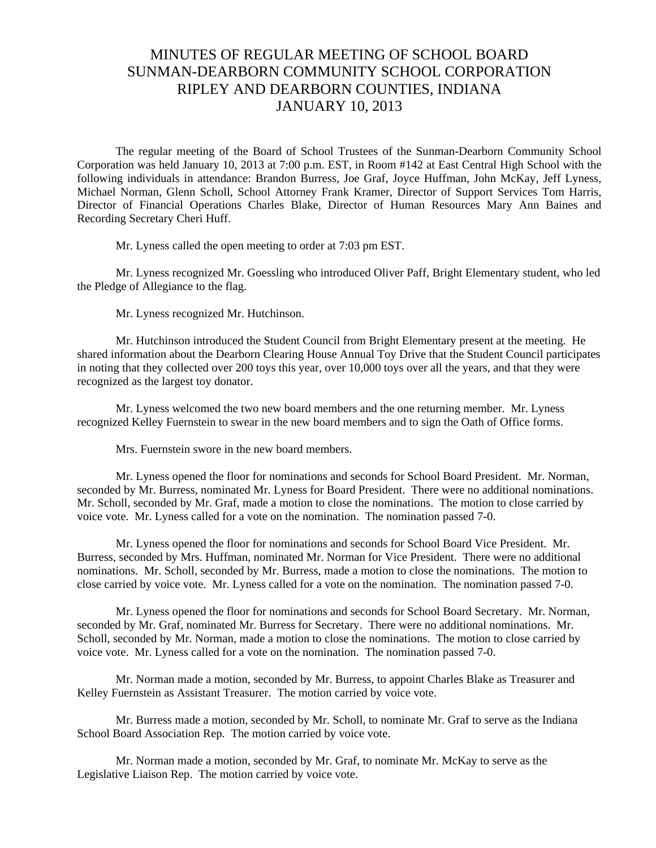## MINUTES OF REGULAR MEETING OF SCHOOL BOARD SUNMAN-DEARBORN COMMUNITY SCHOOL CORPORATION RIPLEY AND DEARBORN COUNTIES, INDIANA JANUARY 10, 2013

The regular meeting of the Board of School Trustees of the Sunman-Dearborn Community School Corporation was held January 10, 2013 at 7:00 p.m. EST, in Room #142 at East Central High School with the following individuals in attendance: Brandon Burress, Joe Graf, Joyce Huffman, John McKay, Jeff Lyness, Michael Norman, Glenn Scholl, School Attorney Frank Kramer, Director of Support Services Tom Harris, Director of Financial Operations Charles Blake, Director of Human Resources Mary Ann Baines and Recording Secretary Cheri Huff.

Mr. Lyness called the open meeting to order at 7:03 pm EST.

 Mr. Lyness recognized Mr. Goessling who introduced Oliver Paff, Bright Elementary student, who led the Pledge of Allegiance to the flag.

Mr. Lyness recognized Mr. Hutchinson.

 Mr. Hutchinson introduced the Student Council from Bright Elementary present at the meeting. He shared information about the Dearborn Clearing House Annual Toy Drive that the Student Council participates in noting that they collected over 200 toys this year, over 10,000 toys over all the years, and that they were recognized as the largest toy donator.

 Mr. Lyness welcomed the two new board members and the one returning member. Mr. Lyness recognized Kelley Fuernstein to swear in the new board members and to sign the Oath of Office forms.

Mrs. Fuernstein swore in the new board members.

 Mr. Lyness opened the floor for nominations and seconds for School Board President. Mr. Norman, seconded by Mr. Burress, nominated Mr. Lyness for Board President. There were no additional nominations. Mr. Scholl, seconded by Mr. Graf, made a motion to close the nominations. The motion to close carried by voice vote. Mr. Lyness called for a vote on the nomination. The nomination passed 7-0.

 Mr. Lyness opened the floor for nominations and seconds for School Board Vice President. Mr. Burress, seconded by Mrs. Huffman, nominated Mr. Norman for Vice President. There were no additional nominations. Mr. Scholl, seconded by Mr. Burress, made a motion to close the nominations. The motion to close carried by voice vote. Mr. Lyness called for a vote on the nomination. The nomination passed 7-0.

 Mr. Lyness opened the floor for nominations and seconds for School Board Secretary. Mr. Norman, seconded by Mr. Graf, nominated Mr. Burress for Secretary. There were no additional nominations. Mr. Scholl, seconded by Mr. Norman, made a motion to close the nominations. The motion to close carried by voice vote. Mr. Lyness called for a vote on the nomination. The nomination passed 7-0.

 Mr. Norman made a motion, seconded by Mr. Burress, to appoint Charles Blake as Treasurer and Kelley Fuernstein as Assistant Treasurer. The motion carried by voice vote.

 Mr. Burress made a motion, seconded by Mr. Scholl, to nominate Mr. Graf to serve as the Indiana School Board Association Rep. The motion carried by voice vote.

 Mr. Norman made a motion, seconded by Mr. Graf, to nominate Mr. McKay to serve as the Legislative Liaison Rep. The motion carried by voice vote.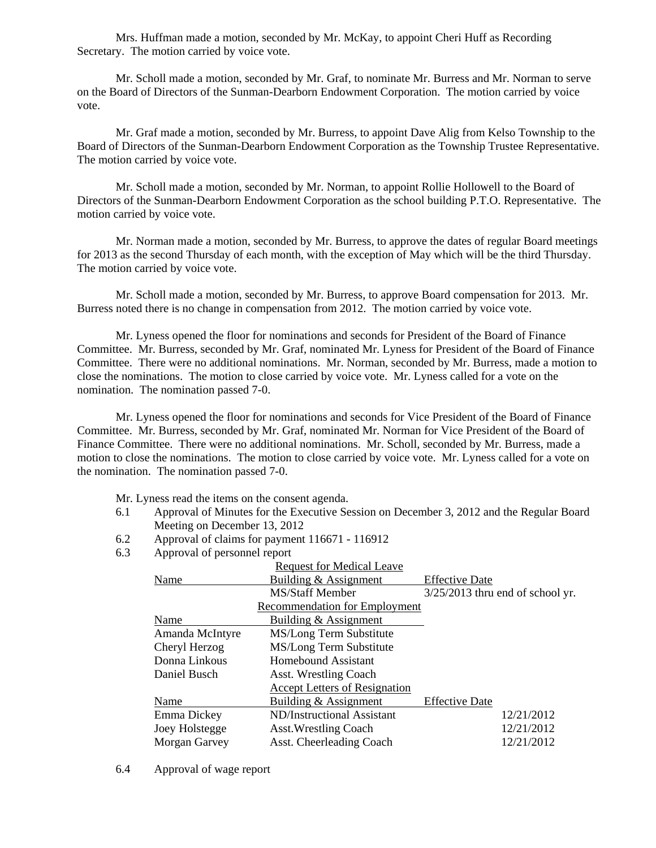Mrs. Huffman made a motion, seconded by Mr. McKay, to appoint Cheri Huff as Recording Secretary. The motion carried by voice vote.

 Mr. Scholl made a motion, seconded by Mr. Graf, to nominate Mr. Burress and Mr. Norman to serve on the Board of Directors of the Sunman-Dearborn Endowment Corporation. The motion carried by voice vote.

 Mr. Graf made a motion, seconded by Mr. Burress, to appoint Dave Alig from Kelso Township to the Board of Directors of the Sunman-Dearborn Endowment Corporation as the Township Trustee Representative. The motion carried by voice vote.

 Mr. Scholl made a motion, seconded by Mr. Norman, to appoint Rollie Hollowell to the Board of Directors of the Sunman-Dearborn Endowment Corporation as the school building P.T.O. Representative. The motion carried by voice vote.

 Mr. Norman made a motion, seconded by Mr. Burress, to approve the dates of regular Board meetings for 2013 as the second Thursday of each month, with the exception of May which will be the third Thursday. The motion carried by voice vote.

 Mr. Scholl made a motion, seconded by Mr. Burress, to approve Board compensation for 2013. Mr. Burress noted there is no change in compensation from 2012. The motion carried by voice vote.

 Mr. Lyness opened the floor for nominations and seconds for President of the Board of Finance Committee. Mr. Burress, seconded by Mr. Graf, nominated Mr. Lyness for President of the Board of Finance Committee. There were no additional nominations. Mr. Norman, seconded by Mr. Burress, made a motion to close the nominations. The motion to close carried by voice vote. Mr. Lyness called for a vote on the nomination. The nomination passed 7-0.

 Mr. Lyness opened the floor for nominations and seconds for Vice President of the Board of Finance Committee. Mr. Burress, seconded by Mr. Graf, nominated Mr. Norman for Vice President of the Board of Finance Committee. There were no additional nominations. Mr. Scholl, seconded by Mr. Burress, made a motion to close the nominations. The motion to close carried by voice vote. Mr. Lyness called for a vote on the nomination. The nomination passed 7-0.

Mr. Lyness read the items on the consent agenda.

- 6.1 Approval of Minutes for the Executive Session on December 3, 2012 and the Regular Board Meeting on December 13, 2012
- 6.2 Approval of claims for payment 116671 116912
- 6.3 Approval of personnel report

|                 | <b>Request for Medical Leave</b>     |                                    |
|-----------------|--------------------------------------|------------------------------------|
| Name            | Building & Assignment                | <b>Effective Date</b>              |
|                 | MS/Staff Member                      | $3/25/2013$ thru end of school yr. |
|                 | <b>Recommendation for Employment</b> |                                    |
| Name            | Building & Assignment                |                                    |
| Amanda McIntyre | MS/Long Term Substitute              |                                    |
| Cheryl Herzog   | MS/Long Term Substitute              |                                    |
| Donna Linkous   | Homebound Assistant                  |                                    |
| Daniel Busch    | Asst. Wrestling Coach                |                                    |
|                 | <b>Accept Letters of Resignation</b> |                                    |
| Name            | Building & Assignment                | <b>Effective Date</b>              |
| Emma Dickey     | ND/Instructional Assistant           | 12/21/2012                         |
| Joey Holstegge  | <b>Asst.Wrestling Coach</b>          | 12/21/2012                         |
| Morgan Garvey   | Asst. Cheerleading Coach             | 12/21/2012                         |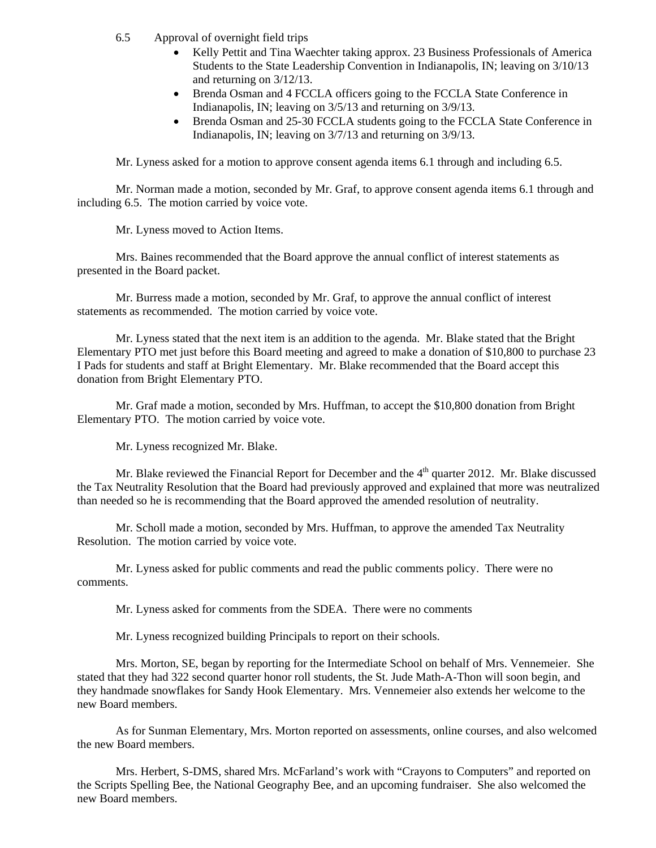- 6.5 Approval of overnight field trips
	- Kelly Pettit and Tina Waechter taking approx. 23 Business Professionals of America Students to the State Leadership Convention in Indianapolis, IN; leaving on 3/10/13 and returning on 3/12/13.
	- Brenda Osman and 4 FCCLA officers going to the FCCLA State Conference in Indianapolis, IN; leaving on 3/5/13 and returning on 3/9/13.
	- Brenda Osman and 25-30 FCCLA students going to the FCCLA State Conference in Indianapolis, IN; leaving on 3/7/13 and returning on 3/9/13.

Mr. Lyness asked for a motion to approve consent agenda items 6.1 through and including 6.5.

Mr. Norman made a motion, seconded by Mr. Graf, to approve consent agenda items 6.1 through and including 6.5. The motion carried by voice vote.

Mr. Lyness moved to Action Items.

Mrs. Baines recommended that the Board approve the annual conflict of interest statements as presented in the Board packet.

 Mr. Burress made a motion, seconded by Mr. Graf, to approve the annual conflict of interest statements as recommended. The motion carried by voice vote.

 Mr. Lyness stated that the next item is an addition to the agenda. Mr. Blake stated that the Bright Elementary PTO met just before this Board meeting and agreed to make a donation of \$10,800 to purchase 23 I Pads for students and staff at Bright Elementary. Mr. Blake recommended that the Board accept this donation from Bright Elementary PTO.

 Mr. Graf made a motion, seconded by Mrs. Huffman, to accept the \$10,800 donation from Bright Elementary PTO. The motion carried by voice vote.

Mr. Lyness recognized Mr. Blake.

Mr. Blake reviewed the Financial Report for December and the  $4<sup>th</sup>$  quarter 2012. Mr. Blake discussed the Tax Neutrality Resolution that the Board had previously approved and explained that more was neutralized than needed so he is recommending that the Board approved the amended resolution of neutrality.

Mr. Scholl made a motion, seconded by Mrs. Huffman, to approve the amended Tax Neutrality Resolution. The motion carried by voice vote.

Mr. Lyness asked for public comments and read the public comments policy. There were no comments.

Mr. Lyness asked for comments from the SDEA. There were no comments

Mr. Lyness recognized building Principals to report on their schools.

Mrs. Morton, SE, began by reporting for the Intermediate School on behalf of Mrs. Vennemeier. She stated that they had 322 second quarter honor roll students, the St. Jude Math-A-Thon will soon begin, and they handmade snowflakes for Sandy Hook Elementary. Mrs. Vennemeier also extends her welcome to the new Board members.

As for Sunman Elementary, Mrs. Morton reported on assessments, online courses, and also welcomed the new Board members.

Mrs. Herbert, S-DMS, shared Mrs. McFarland's work with "Crayons to Computers" and reported on the Scripts Spelling Bee, the National Geography Bee, and an upcoming fundraiser. She also welcomed the new Board members.